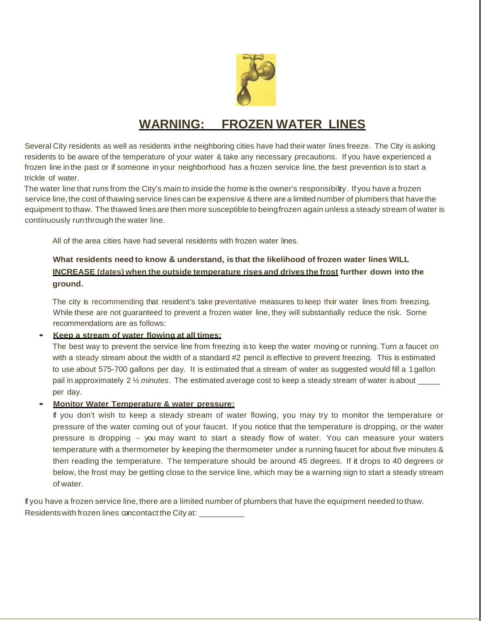

## **WARNING: FROZEN WATER LINES**

Several City residents as well as residents inthe neighboring cities have had their water lines freeze. The City is asking residents to be aware of the temperature of your water & take any necessary precautions. If you have experienced a frozen line in the past or if someone in your neighborhood has a frozen service line, the best prevention is to start a trickle of water.

The water line that runs from the City's main to inside the home is the owner's responsibility. If you have a frozen service line, the cost of thawing service lines can be expensive & there are a limited number of plumbers that have the equipment to thaw. The thawed lines are then more susceptible to beingfrozen again unless a steady stream of water is continuously runthrough the water line.

All of the area cities have had several residents with frozen water lines.

### **What residents need to know & understand, is that the likelihood of frozen water lines WILL INCREASE (dates) when the outside temperature rises and drives the frost further down into the ground.**

The city is recommending that resident's take preventative measures to keep their water lines from freezing. While these are not guaranteed to prevent a frozen water line, they will substantially reduce the risk. Some recommendations are as follows:

#### • **Keep a stream of water flowing at all times:**

The best way to prevent the service line from freezing is to keep the water moving or running. Turn a faucet on with a steady stream about the width of a standard #2 pencil is effective to prevent freezing. This is estimated to use about 575-700 gallons per day. It is estimated that a stream of water as suggested would fill a 1gallon pail in approximately 2 ½ *minutes*. The estimated average cost to keep a steady stream of water is about \_\_\_\_\_ per day.

#### • **Monitor Water Temperature & water pressure:**

If you don't wish to keep a steady stream of water flowing, you may try to monitor the temperature or pressure of the water coming out of your faucet. If you notice that the temperature is dropping, or the water pressure is dropping -- you may want to start a steady flow of water. You can measure your waters temperature with a thermometer by keeping the thermometer under a running faucet for about five minutes & then reading the temperature. The temperature should be around 45 degrees. If it drops to 40 degrees or below, the frost may be getting close to the service line, which may be a warning sign to start a steady stream of water.

If you have a frozen service line, there are a limited number of plumbers that have the equipment needed to thaw. Residents with frozen lines cancontact the City at: